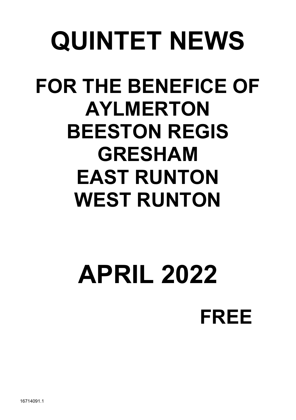# QUINTET NEWS

# FOR THE BENEFICE OF AYLMERTON BEESTON REGIS GRESHAM EAST RUNTON WEST RUNTON

# APRIL 2022 FREE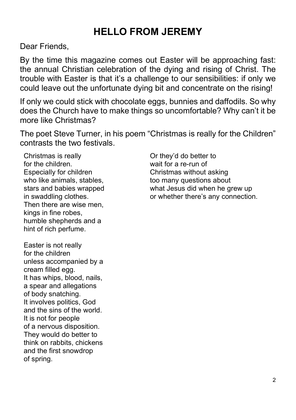# HELLO FROM JEREMY

Dear Friends,

By the time this magazine comes out Easter will be approaching fast: the annual Christian celebration of the dying and rising of Christ. The trouble with Easter is that it's a challenge to our sensibilities: if only we could leave out the unfortunate dying bit and concentrate on the rising!

If only we could stick with chocolate eggs, bunnies and daffodils. So why does the Church have to make things so uncomfortable? Why can't it be more like Christmas?

The poet Steve Turner, in his poem "Christmas is really for the Children" contrasts the two festivals.

Christmas is really for the children. Especially for children who like animals, stables, stars and babies wrapped in swaddling clothes. Then there are wise men, kings in fine robes, humble shepherds and a hint of rich perfume.

Easter is not really for the children unless accompanied by a cream filled egg. It has whips, blood, nails, a spear and allegations of body snatching. It involves politics, God and the sins of the world. It is not for people of a nervous disposition. They would do better to think on rabbits, chickens and the first snowdrop of spring.

Or they'd do better to wait for a re-run of Christmas without asking too many questions about what Jesus did when he grew up or whether there's any connection.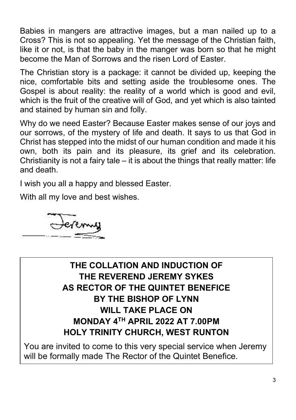Babies in mangers are attractive images, but a man nailed up to a Cross? This is not so appealing. Yet the message of the Christian faith, like it or not, is that the baby in the manger was born so that he might become the Man of Sorrows and the risen Lord of Easter.

The Christian story is a package: it cannot be divided up, keeping the nice, comfortable bits and setting aside the troublesome ones. The Gospel is about reality: the reality of a world which is good and evil, which is the fruit of the creative will of God, and yet which is also tainted and stained by human sin and folly.

Why do we need Easter? Because Easter makes sense of our joys and our sorrows, of the mystery of life and death. It says to us that God in Christ has stepped into the midst of our human condition and made it his own, both its pain and its pleasure, its grief and its celebration. Christianity is not a fairy tale  $-$  it is about the things that really matter: life and death.

I wish you all a happy and blessed Easter.

With all my love and best wishes.



#### THE COLLATION AND INDUCTION OF THE REVEREND JEREMY SYKES AS RECTOR OF THE QUINTET BENEFICE BY THE BISHOP OF LYNN WILL TAKE PLACE ON MONDAY 4TH APRIL 2022 AT 7.00PM HOLY TRINITY CHURCH, WEST RUNTON

You are invited to come to this very special service when Jeremy will be formally made The Rector of the Quintet Benefice.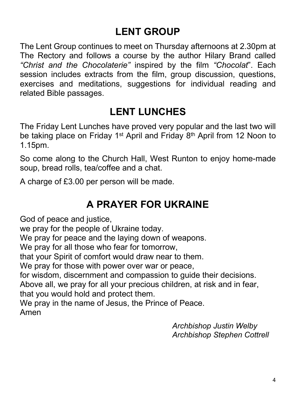# LENT GROUP

The Lent Group continues to meet on Thursday afternoons at 2.30pm at The Rectory and follows a course by the author Hilary Brand called "Christ and the Chocolaterie" inspired by the film "Chocolat". Each session includes extracts from the film, group discussion, questions, exercises and meditations, suggestions for individual reading and related Bible passages.

# LENT LUNCHES

The Friday Lent Lunches have proved very popular and the last two will be taking place on Friday 1<sup>st</sup> April and Friday 8<sup>th</sup> April from 12 Noon to 1.15pm.

So come along to the Church Hall, West Runton to enjoy home-made soup, bread rolls, tea/coffee and a chat.

A charge of £3.00 per person will be made.

### A PRAYER FOR UKRAINE

God of peace and justice,

we pray for the people of Ukraine today.

We pray for peace and the laying down of weapons.

We pray for all those who fear for tomorrow,

that your Spirit of comfort would draw near to them.

We pray for those with power over war or peace,

for wisdom, discernment and compassion to guide their decisions.

Above all, we pray for all your precious children, at risk and in fear, that you would hold and protect them.

We pray in the name of Jesus, the Prince of Peace.

Amen

Archbishop Justin Welby Archbishop Stephen Cottrell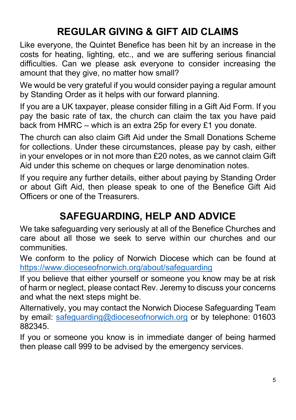# REGULAR GIVING & GIFT AID CLAIMS

Like everyone, the Quintet Benefice has been hit by an increase in the costs for heating, lighting, etc., and we are suffering serious financial difficulties. Can we please ask everyone to consider increasing the amount that they give, no matter how small?

We would be very grateful if you would consider paying a regular amount by Standing Order as it helps with our forward planning.

If you are a UK taxpayer, please consider filling in a Gift Aid Form. If you pay the basic rate of tax, the church can claim the tax you have paid back from HMRC – which is an extra 25p for every £1 you donate.

The church can also claim Gift Aid under the Small Donations Scheme for collections. Under these circumstances, please pay by cash, either in your envelopes or in not more than £20 notes, as we cannot claim Gift Aid under this scheme on cheques or large denomination notes.

If you require any further details, either about paying by Standing Order or about Gift Aid, then please speak to one of the Benefice Gift Aid Officers or one of the Treasurers.

# SAFEGUARDING, HELP AND ADVICE

We take safeguarding very seriously at all of the Benefice Churches and care about all those we seek to serve within our churches and our communities.

We conform to the policy of Norwich Diocese which can be found at https://www.dioceseofnorwich.org/about/safeguarding

If you believe that either yourself or someone you know may be at risk of harm or neglect, please contact Rev. Jeremy to discuss your concerns and what the next steps might be.

Alternatively, you may contact the Norwich Diocese Safeguarding Team by email: safeguarding@dioceseofnorwich.org or by telephone: 01603 882345.

If you or someone you know is in immediate danger of being harmed then please call 999 to be advised by the emergency services.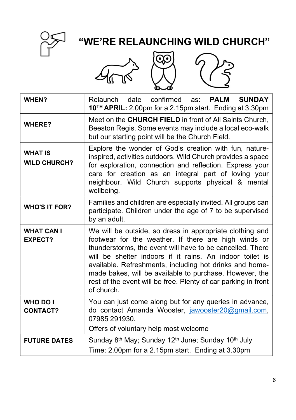

# "WE'RE RELAUNCHING WILD CHURCH"







| WHEN?                                 | confirmed<br>Relaunch date<br><b>SUNDAY</b><br>PALM<br>as:<br>10 <sup>TH</sup> APRIL: 2.00pm for a 2.15pm start. Ending at 3.30pm                                                                                                                                                                                                                                                                                                               |  |  |
|---------------------------------------|-------------------------------------------------------------------------------------------------------------------------------------------------------------------------------------------------------------------------------------------------------------------------------------------------------------------------------------------------------------------------------------------------------------------------------------------------|--|--|
| <b>WHERE?</b>                         | Meet on the CHURCH FIELD in front of All Saints Church,<br>Beeston Regis. Some events may include a local eco-walk<br>but our starting point will be the Church Field.                                                                                                                                                                                                                                                                          |  |  |
| <b>WHAT IS</b><br><b>WILD CHURCH?</b> | Explore the wonder of God's creation with fun, nature-<br>inspired, activities outdoors. Wild Church provides a space<br>for exploration, connection and reflection. Express your<br>care for creation as an integral part of loving your<br>neighbour. Wild Church supports physical & mental<br>wellbeing.                                                                                                                                    |  |  |
| <b>WHO'S IT FOR?</b>                  | Families and children are especially invited. All groups can<br>participate. Children under the age of 7 to be supervised<br>by an adult.                                                                                                                                                                                                                                                                                                       |  |  |
| <b>WHAT CAN I</b><br><b>EXPECT?</b>   | We will be outside, so dress in appropriate clothing and<br>footwear for the weather. If there are high winds or<br>thunderstorms, the event will have to be cancelled. There<br>will be shelter indoors if it rains. An indoor toilet is<br>available. Refreshments, including hot drinks and home-<br>made bakes, will be available to purchase. However, the<br>rest of the event will be free. Plenty of car parking in front<br>of church. |  |  |
| <b>WHO DO I</b><br><b>CONTACT?</b>    | You can just come along but for any queries in advance,<br>do contact Amanda Wooster, jawooster20@gmail.com,<br>07985 291930.<br>Offers of voluntary help most welcome                                                                                                                                                                                                                                                                          |  |  |
| <b>FUTURE DATES</b>                   | Sunday 8 <sup>th</sup> May; Sunday 12 <sup>th</sup> June; Sunday 10 <sup>th</sup> July<br>Time: 2.00pm for a 2.15pm start. Ending at 3.30pm                                                                                                                                                                                                                                                                                                     |  |  |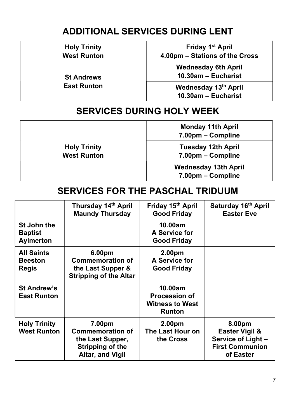#### ADDITIONAL SERVICES DURING LENT

| <b>Holy Trinity</b><br><b>West Runton</b> | Friday 1 <sup>st</sup> April<br>4.00pm - Stations of the Cross |
|-------------------------------------------|----------------------------------------------------------------|
| <b>St Andrews</b>                         | <b>Wednesday 6th April</b><br>10.30am - Eucharist              |
| <b>East Runton</b>                        | Wednesday 13th April<br>10.30am - Eucharist                    |

#### SERVICES DURING HOLY WEEK

Holy Trinity West Runton Monday 11th April 7.00pm – Compline Tuesday 12th April 7.00pm – Compline Wednesday 13th April 7.00pm – Compline

#### SERVICES FOR THE PASCHAL TRIDUUM

|                                                   | Thursday 14th April<br><b>Maundy Thursday</b>                                                 | Friday 15th April<br><b>Good Friday</b>                                    | Saturday 16th April<br><b>Easter Eve</b>                                             |
|---------------------------------------------------|-----------------------------------------------------------------------------------------------|----------------------------------------------------------------------------|--------------------------------------------------------------------------------------|
| St John the<br><b>Baptist</b><br><b>Aylmerton</b> |                                                                                               | 10.00am<br>A Service for<br><b>Good Friday</b>                             |                                                                                      |
| <b>All Saints</b><br><b>Beeston</b><br>Regis      | 6.00pm<br><b>Commemoration of</b><br>the Last Supper &<br><b>Stripping of the Altar</b>       | 2.00 <sub>pm</sub><br>A Service for<br><b>Good Friday</b>                  |                                                                                      |
| <b>St Andrew's</b><br><b>East Runton</b>          |                                                                                               | 10.00am<br><b>Procession of</b><br><b>Witness to West</b><br><b>Runton</b> |                                                                                      |
| <b>Holy Trinity</b><br><b>West Runton</b>         | 7.00pm<br><b>Commemoration of</b><br>the Last Supper,<br>Stripping of the<br>Altar, and Vigil | 2.00 <sub>pm</sub><br>The Last Hour on<br>the Cross                        | 8.00pm<br>Easter Vigil &<br>Service of Light-<br><b>First Communion</b><br>of Easter |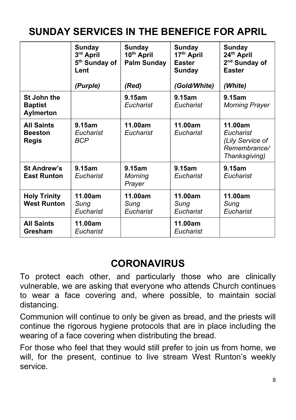# SUNDAY SERVICES IN THE BENEFICE FOR APRIL

|                                              | Sunday<br>3rd April<br>5 <sup>th</sup> Sunday of<br>Lent<br>(Purple) | Sunday<br>10th April<br><b>Palm Sunday</b><br>(Red) | Sunday<br>17 <sup>th</sup> April<br><b>Easter</b><br>Sunday<br>(Gold/White) | Sunday<br>24 <sup>th</sup> April<br>2 <sup>nd</sup> Sunday of<br><b>Easter</b><br>(White) |
|----------------------------------------------|----------------------------------------------------------------------|-----------------------------------------------------|-----------------------------------------------------------------------------|-------------------------------------------------------------------------------------------|
| St John the<br><b>Baptist</b><br>Aylmerton   |                                                                      | 9.15am<br>Eucharist                                 | 9.15am<br>Eucharist                                                         | 9.15am<br><b>Morning Prayer</b>                                                           |
| <b>All Saints</b><br><b>Beeston</b><br>Regis | 9.15am<br>Eucharist<br><b>BCP</b>                                    | 11.00am<br>Eucharist                                | 11.00am<br>Eucharist                                                        | 11.00am<br>Eucharist<br>(Lily Service of<br>Remembrance/<br>Thanksgiving)                 |
| <b>St Andrew's</b><br><b>East Runton</b>     | 9.15am<br>Eucharist                                                  | 9.15am<br>Morning<br>Prayer                         | 9.15am<br>Eucharist                                                         | 9.15am<br>Eucharist                                                                       |
| <b>Holy Trinity</b><br><b>West Runton</b>    | 11.00am<br>Sunq<br>Eucharist                                         | 11.00am<br>Sunq<br>Eucharist                        | 11.00am<br>Sung<br>Eucharist                                                | 11.00am<br>Sung<br>Eucharist                                                              |
| <b>All Saints</b><br>Gresham                 | 11.00am<br>Eucharist                                                 |                                                     | 11.00am<br>Eucharist                                                        |                                                                                           |

### **CORONAVIRUS**

To protect each other, and particularly those who are clinically vulnerable, we are asking that everyone who attends Church continues to wear a face covering and, where possible, to maintain social distancing.

Communion will continue to only be given as bread, and the priests will continue the rigorous hygiene protocols that are in place including the wearing of a face covering when distributing the bread.

For those who feel that they would still prefer to join us from home, we will, for the present, continue to live stream West Runton's weekly service.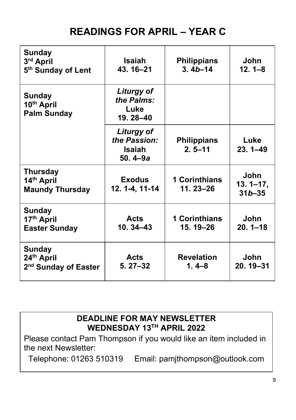# READINGS FOR APRIL – YEAR C

| Sunday<br>3rd April<br>5th Sunday of Lent                | <b>Isaiah</b><br>43.16-21                           | <b>Philippians</b><br>$3.4b - 14$    | John<br>$12.1 - 8$                 |
|----------------------------------------------------------|-----------------------------------------------------|--------------------------------------|------------------------------------|
| Sunday<br>10th April<br><b>Palm Sunday</b>               | Liturgy of<br>the Palms:<br>Luke<br>19.28-40        |                                      |                                    |
|                                                          | Liturgy of<br>the Passion:<br>Isaiah<br>$50.4 - 9a$ | <b>Philippians</b><br>$2.5 - 11$     | Luke<br>$23.1 - 49$                |
| <b>Thursday</b><br>14th April<br><b>Maundy Thursday</b>  | <b>Exodus</b><br>12. 1-4, 11-14                     | <b>1 Corinthians</b><br>$11.23 - 26$ | John<br>$13.1 - 17,$<br>$31b - 35$ |
| Sunday<br>17th April<br><b>Easter Sunday</b>             | <b>Acts</b><br>$10.34 - 43$                         | <b>1 Corinthians</b><br>15.19–26     | John<br>$20.1 - 18$                |
| Sunday<br>24th April<br>2 <sup>nd</sup> Sunday of Easter | <b>Acts</b><br>$5.27 - 32$                          | <b>Revelation</b><br>$1.4 - 8$       | <b>John</b><br>$20.19 - 31$        |

#### DEADLINE FOR MAY NEWSLETTER WEDNESDAY 13TH APRIL 2022

Please contact Pam Thompson if you would like an item included in the next Newsletter:

Telephone: 01263 510319 Email: pamjthompson@outlook.com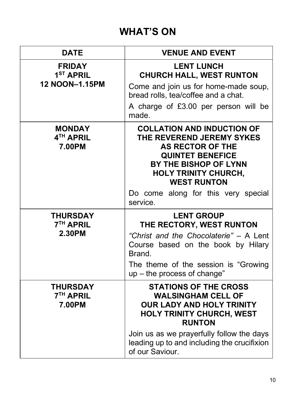# WHAT'S ON

| <b>DATE</b>                                              | <b>VENUE AND EVENT</b>                                                                                                                                                                             |
|----------------------------------------------------------|----------------------------------------------------------------------------------------------------------------------------------------------------------------------------------------------------|
| <b>FRIDAY</b><br>1 <sup>ST</sup> APRIL<br>12 NOON-1.15PM | <b>LENT LUNCH</b><br><b>CHURCH HALL, WEST RUNTON</b><br>Come and join us for home-made soup,                                                                                                       |
|                                                          | bread rolls, tea/coffee and a chat.                                                                                                                                                                |
|                                                          | A charge of £3.00 per person will be<br>made.                                                                                                                                                      |
| <b>MONDAY</b><br>4 <sup>TH</sup> APRIL<br>7.00PM         | <b>COLLATION AND INDUCTION OF</b><br>THE REVEREND JEREMY SYKES<br><b>AS RECTOR OF THE</b><br><b>QUINTET BENEFICE</b><br>BY THE BISHOP OF LYNN<br><b>HOLY TRINITY CHURCH,</b><br><b>WEST RUNTON</b> |
|                                                          | Do come along for this very special<br>service.                                                                                                                                                    |
| <b>THURSDAY</b><br><b>7<sup>TH</sup> APRIL</b><br>2.30PM | <b>LENT GROUP</b><br>THE RECTORY, WEST RUNTON<br>"Christ and the Chocolaterie" - A Lent<br>Course based on the book by Hilary<br>Brand.                                                            |
|                                                          | The theme of the session is "Growing<br>up - the process of change"                                                                                                                                |
| <b>THURSDAY</b><br><b>7<sup>TH</sup> APRIL</b><br>7.00PM | <b>STATIONS OF THE CROSS</b><br><b>WALSINGHAM CELL OF</b><br><b>OUR LADY AND HOLY TRINITY</b><br><b>HOLY TRINITY CHURCH, WEST</b><br><b>RUNTON</b>                                                 |
|                                                          | Join us as we prayerfully follow the days<br>leading up to and including the crucifixion<br>of our Saviour.                                                                                        |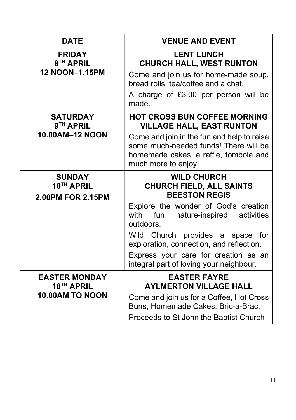| <b>DATE</b>                                                              | <b>VENUE AND EVENT</b>                                                                                                                                                                                                                                                                                                                                |
|--------------------------------------------------------------------------|-------------------------------------------------------------------------------------------------------------------------------------------------------------------------------------------------------------------------------------------------------------------------------------------------------------------------------------------------------|
| <b>FRIDAY</b><br>8 <sup>TH</sup> APRIL<br>12 NOON-1.15PM                 | <b>LENT LUNCH</b><br><b>CHURCH HALL, WEST RUNTON</b><br>Come and join us for home-made soup,<br>bread rolls, tea/coffee and a chat.<br>A charge of £3.00 per person will be<br>made.                                                                                                                                                                  |
| <b>SATURDAY</b><br>9 <sup>TH</sup> APRIL<br>10.00AM-12 NOON              | <b>HOT CROSS BUN COFFEE MORNING</b><br><b>VILLAGE HALL, EAST RUNTON</b><br>Come and join in the fun and help to raise<br>some much-needed funds! There will be<br>homemade cakes, a raffle, tombola and<br>much more to enjoy!                                                                                                                        |
| <b>SUNDAY</b><br>10TH APRIL<br>2.00PM FOR 2.15PM                         | <b>WILD CHURCH</b><br><b>CHURCH FIELD, ALL SAINTS</b><br><b>BEESTON REGIS</b><br>Explore the wonder of God's creation<br>with<br>fun<br>activities<br>nature-inspired<br>outdoors.<br>Wild Church provides a space for<br>exploration, connection, and reflection.<br>Express your care for creation as an<br>integral part of loving your neighbour. |
| <b>EASTER MONDAY</b><br>18 <sup>TH</sup> APRIL<br><b>10.00AM TO NOON</b> | <b>EASTER FAYRE</b><br><b>AYLMERTON VILLAGE HALL</b><br>Come and join us for a Coffee, Hot Cross<br>Buns, Homemade Cakes, Bric-a-Brac.<br>Proceeds to St John the Baptist Church                                                                                                                                                                      |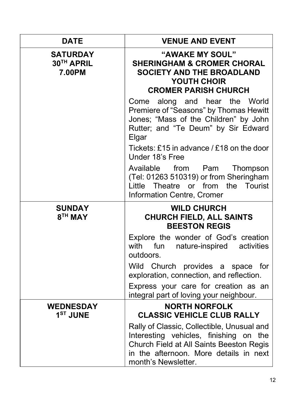| <b>DATE</b>                              | <b>VENUE AND EVENT</b>                                                                                                                                              |
|------------------------------------------|---------------------------------------------------------------------------------------------------------------------------------------------------------------------|
| <b>SATURDAY</b><br>30TH APRIL<br>7.00PM  | "AWAKE MY SOUL"<br><b>SHERINGHAM &amp; CROMER CHORAL</b><br><b>SOCIETY AND THE BROADLAND</b><br>YOUTH CHOIR<br><b>CROMER PARISH CHURCH</b>                          |
|                                          | along and hear the World<br>Come<br>Premiere of "Seasons" by Thomas Hewitt<br>Jones; "Mass of the Children" by John<br>Rutter; and "Te Deum" by Sir Edward<br>Elgar |
|                                          | Tickets: £15 in advance / £18 on the door<br>Under 18's Free                                                                                                        |
|                                          | Available<br>from<br>Pam<br>Thompson<br>(Tel: 01263 510319) or from Sheringham<br>from<br>the<br>Tourist<br>Little<br>Theatre<br>or<br>Information Centre, Cromer   |
|                                          |                                                                                                                                                                     |
| <b>SUNDAY</b><br>8 <sup>TH</sup> MAY     | <b>WILD CHURCH</b><br><b>CHURCH FIELD, ALL SAINTS</b><br><b>BEESTON REGIS</b>                                                                                       |
|                                          | Explore the wonder of God's creation<br>fun<br>with<br>nature-inspired activities<br>outdoors.                                                                      |
|                                          | Wild Church provides a space for<br>exploration, connection, and reflection.                                                                                        |
|                                          | Express your care for creation as an<br>integral part of loving your neighbour.                                                                                     |
| <b>WEDNESDAY</b><br>1 <sup>ST</sup> JUNE | <b>NORTH NORFOLK</b><br><b>CLASSIC VEHICLE CLUB RALLY</b>                                                                                                           |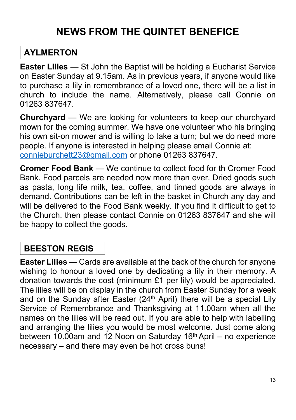# NEWS FROM THE QUINTET BENEFICE

#### AYLMERTON

Easter Lilies — St John the Baptist will be holding a Eucharist Service on Easter Sunday at 9.15am. As in previous years, if anyone would like to purchase a lily in remembrance of a loved one, there will be a list in church to include the name. Alternatively, please call Connie on 01263 837647.

Churchyard — We are looking for volunteers to keep our churchyard mown for the coming summer. We have one volunteer who his bringing his own sit-on mower and is willing to take a turn; but we do need more people. If anyone is interested in helping please email Connie at: connieburchett23@gmail.com or phone 01263 837647.

Cromer Food Bank — We continue to collect food for th Cromer Food Bank. Food parcels are needed now more than ever. Dried goods such as pasta, long life milk, tea, coffee, and tinned goods are always in demand. Contributions can be left in the basket in Church any day and will be delivered to the Food Bank weekly. If you find it difficult to get to the Church, then please contact Connie on 01263 837647 and she will be happy to collect the goods.

#### BEESTON REGIS

Easter Lilies — Cards are available at the back of the church for anyone wishing to honour a loved one by dedicating a lily in their memory. A donation towards the cost (minimum £1 per lily) would be appreciated. The lilies will be on display in the church from Easter Sunday for a week and on the Sunday after Easter (24<sup>th</sup> April) there will be a special Lily Service of Remembrance and Thanksgiving at 11.00am when all the names on the lilies will be read out. If you are able to help with labelling and arranging the lilies you would be most welcome. Just come along between 10.00am and 12 Noon on Saturday 16<sup>th</sup> April – no experience necessary – and there may even be hot cross buns!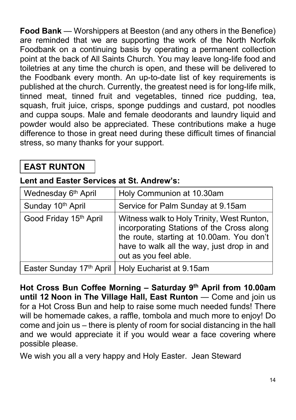Food Bank — Worshippers at Beeston (and any others in the Benefice) are reminded that we are supporting the work of the North Norfolk Foodbank on a continuing basis by operating a permanent collection point at the back of All Saints Church. You may leave long-life food and toiletries at any time the church is open, and these will be delivered to the Foodbank every month. An up-to-date list of key requirements is published at the church. Currently, the greatest need is for long-life milk, tinned meat, tinned fruit and vegetables, tinned rice pudding, tea, squash, fruit juice, crisps, sponge puddings and custard, pot noodles and cuppa soups. Male and female deodorants and laundry liquid and powder would also be appreciated. These contributions make a huge difference to those in great need during these difficult times of financial stress, so many thanks for your support.

#### EAST RUNTON

#### Lent and Easter Services at St. Andrew's:

| Wednesday 6 <sup>th</sup> April | Holy Communion at 10.30am                                                                                                                                                                                   |
|---------------------------------|-------------------------------------------------------------------------------------------------------------------------------------------------------------------------------------------------------------|
| Sunday 10th April               | Service for Palm Sunday at 9.15am                                                                                                                                                                           |
| Good Friday 15th April          | Witness walk to Holy Trinity, West Runton,<br>incorporating Stations of the Cross along<br>the route, starting at 10.00am. You don't<br>have to walk all the way, just drop in and<br>out as you feel able. |
|                                 | Easter Sunday 17th April   Holy Eucharist at 9.15am                                                                                                                                                         |

Hot Cross Bun Coffee Morning - Saturday 9<sup>th</sup> April from 10.00am until 12 Noon in The Village Hall, East Runton — Come and join us for a Hot Cross Bun and help to raise some much needed funds! There will be homemade cakes, a raffle, tombola and much more to enjoy! Do come and join us – there is plenty of room for social distancing in the hall and we would appreciate it if you would wear a face covering where possible please.

We wish you all a very happy and Holy Easter. Jean Steward